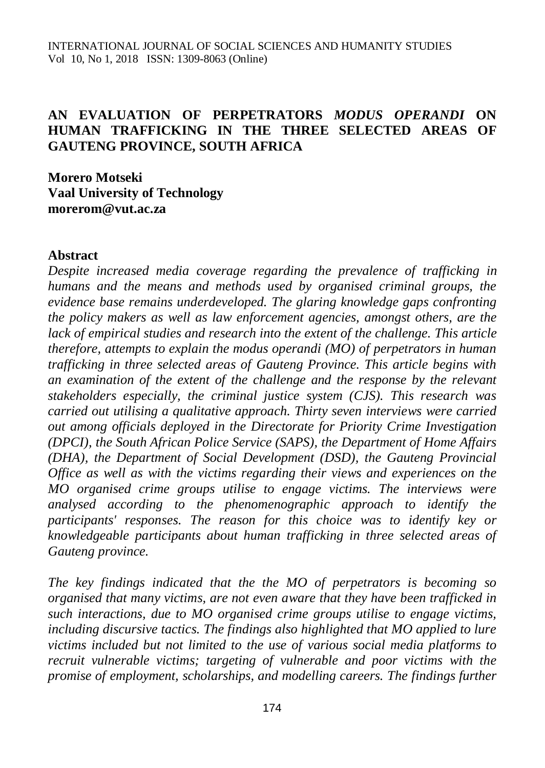#### **AN EVALUATION OF PERPETRATORS** *MODUS OPERANDI* **ON HUMAN TRAFFICKING IN THE THREE SELECTED AREAS OF GAUTENG PROVINCE, SOUTH AFRICA**

**Morero Motseki Vaal University of Technology [morerom@vut.ac.za](mailto:morerom@vut.ac.za)**

#### **Abstract**

*Despite increased media coverage regarding the prevalence of trafficking in humans and the means and methods used by organised criminal groups, the evidence base remains underdeveloped. The glaring knowledge gaps confronting the policy makers as well as law enforcement agencies, amongst others, are the lack of empirical studies and research into the extent of the challenge. This article therefore, attempts to explain the modus operandi (MO) of perpetrators in human trafficking in three selected areas of Gauteng Province. This article begins with an examination of the extent of the challenge and the response by the relevant stakeholders especially, the criminal justice system (CJS). This research was carried out utilising a qualitative approach. Thirty seven interviews were carried out among officials deployed in the Directorate for Priority Crime Investigation (DPCI), the South African Police Service (SAPS), the Department of Home Affairs (DHA), the Department of Social Development (DSD), the Gauteng Provincial Office as well as with the victims regarding their views and experiences on the MO organised crime groups utilise to engage victims. The interviews were analysed according to the phenomenographic approach to identify the participants' responses. The reason for this choice was to identify key or knowledgeable participants about human trafficking in three selected areas of Gauteng province.*

*The key findings indicated that the the MO of perpetrators is becoming so organised that many victims, are not even aware that they have been trafficked in such interactions, due to MO organised crime groups utilise to engage victims, including discursive tactics. The findings also highlighted that MO applied to lure victims included but not limited to the use of various social media platforms to recruit vulnerable victims; targeting of vulnerable and poor victims with the promise of employment, scholarships, and modelling careers. The findings further*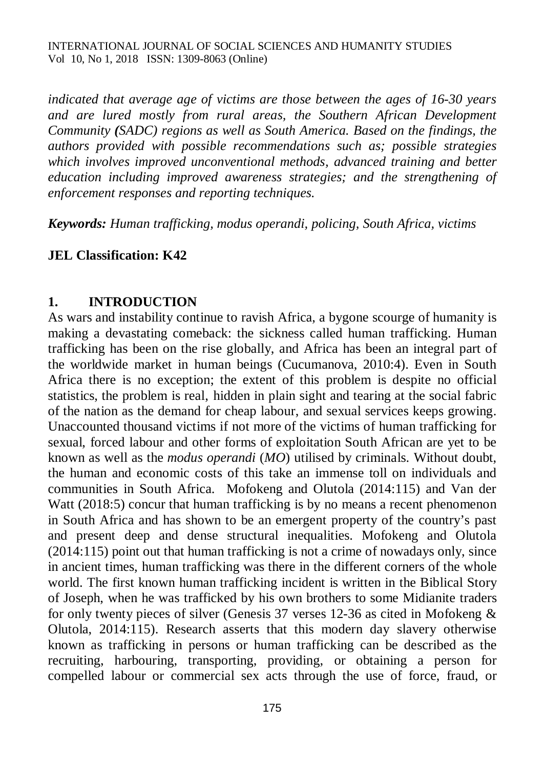*indicated that average age of victims are those between the ages of 16-30 years and are lured mostly from rural areas, the Southern African Development Community (SADC) regions as well as South America. Based on the findings, the authors provided with possible recommendations such as; possible strategies which involves improved unconventional methods, advanced training and better education including improved awareness strategies; and the strengthening of enforcement responses and reporting techniques.*

*Keywords: Human trafficking, modus operandi, policing, South Africa, victims*

#### **JEL Classification: K42**

#### **1. INTRODUCTION**

As wars and instability continue to ravish Africa, a bygone scourge of humanity is making a devastating comeback: the sickness called human trafficking. Human trafficking has been on the rise globally, and Africa has been an integral part of the worldwide market in human beings (Cucumanova, 2010:4). Even in South Africa there is no exception; the extent of this problem is despite no official statistics, the problem is real, hidden in plain sight and tearing at the social fabric of the nation as the demand for cheap labour, and sexual services keeps growing. Unaccounted thousand victims if not more of the victims of human trafficking for sexual, forced labour and other forms of exploitation South African are yet to be known as well as the *modus operandi* (*MO*) utilised by criminals. Without doubt, the human and economic costs of this take an immense toll on individuals and communities in South Africa. Mofokeng and Olutola (2014:115) and Van der Watt (2018:5) concur that human trafficking is by no means a recent phenomenon in South Africa and has shown to be an emergent property of the country's past and present deep and dense structural inequalities. Mofokeng and Olutola (2014:115) point out that human trafficking is not a crime of nowadays only, since in ancient times, human trafficking was there in the different corners of the whole world. The first known human trafficking incident is written in the Biblical Story of Joseph, when he was trafficked by his own brothers to some Midianite traders for only twenty pieces of silver (Genesis 37 verses 12-36 as cited in Mofokeng & Olutola, 2014:115). Research asserts that this modern day slavery otherwise known as trafficking in persons or human trafficking can be described as the recruiting, harbouring, transporting, providing, or obtaining a person for compelled labour or commercial sex acts through the use of force, fraud, or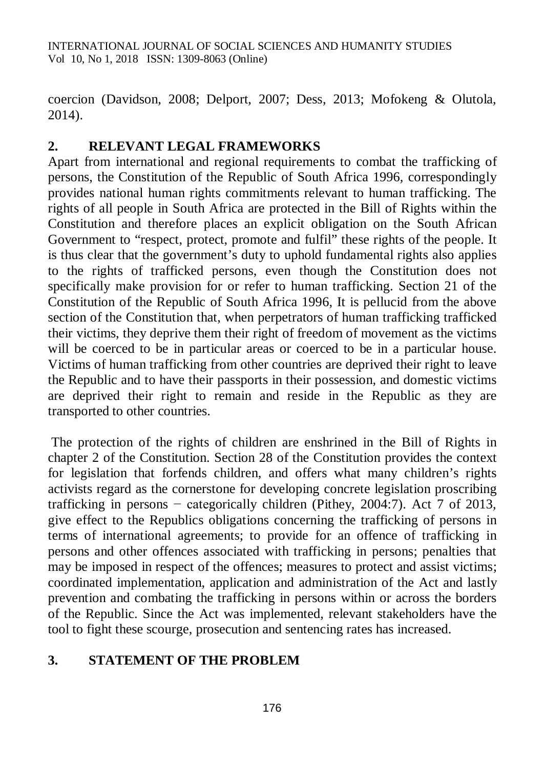coercion (Davidson, 2008; Delport, 2007; Dess, 2013; Mofokeng & Olutola, 2014).

## **2. RELEVANT LEGAL FRAMEWORKS**

Apart from international and regional requirements to combat the trafficking of persons, the Constitution of the Republic of South Africa 1996, correspondingly provides national human rights commitments relevant to human trafficking. The rights of all people in South Africa are protected in the Bill of Rights within the Constitution and therefore places an explicit obligation on the South African Government to "respect, protect, promote and fulfil" these rights of the people. It is thus clear that the government's duty to uphold fundamental rights also applies to the rights of trafficked persons, even though the Constitution does not specifically make provision for or refer to human trafficking. Section 21 of the Constitution of the Republic of South Africa 1996, It is pellucid from the above section of the Constitution that, when perpetrators of human trafficking trafficked their victims, they deprive them their right of freedom of movement as the victims will be coerced to be in particular areas or coerced to be in a particular house. Victims of human trafficking from other countries are deprived their right to leave the Republic and to have their passports in their possession, and domestic victims are deprived their right to remain and reside in the Republic as they are transported to other countries.

The protection of the rights of children are enshrined in the Bill of Rights in chapter 2 of the Constitution. Section 28 of the Constitution provides the context for legislation that forfends children, and offers what many children's rights activists regard as the cornerstone for developing concrete legislation proscribing trafficking in persons − categorically children (Pithey, 2004:7). Act 7 of 2013, give effect to the Republics obligations concerning the trafficking of persons in terms of international agreements; to provide for an offence of trafficking in persons and other offences associated with trafficking in persons; penalties that may be imposed in respect of the offences; measures to protect and assist victims; coordinated implementation, application and administration of the Act and lastly prevention and combating the trafficking in persons within or across the borders of the Republic. Since the Act was implemented, relevant stakeholders have the tool to fight these scourge, prosecution and sentencing rates has increased.

# **3. STATEMENT OF THE PROBLEM**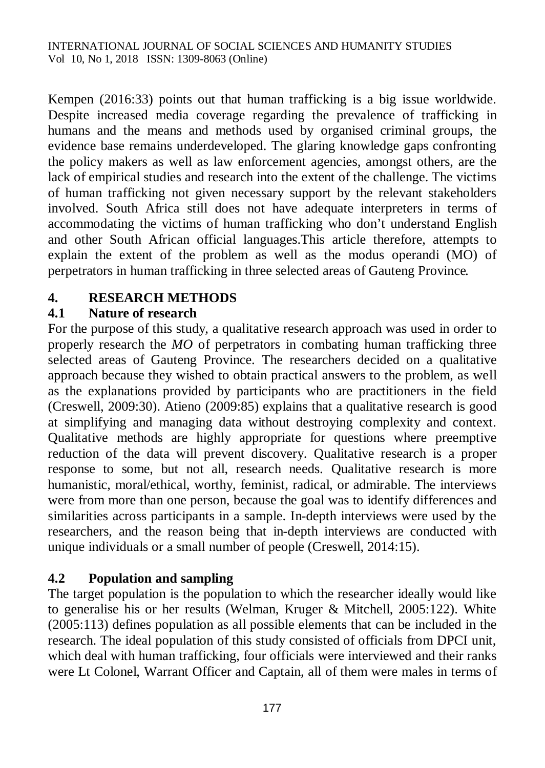Kempen (2016:33) points out that human trafficking is a big issue worldwide. Despite increased media coverage regarding the prevalence of trafficking in humans and the means and methods used by organised criminal groups, the evidence base remains underdeveloped. The glaring knowledge gaps confronting the policy makers as well as law enforcement agencies, amongst others, are the lack of empirical studies and research into the extent of the challenge. The victims of human trafficking not given necessary support by the relevant stakeholders involved. South Africa still does not have adequate interpreters in terms of accommodating the victims of human trafficking who don't understand English and other South African official languages.This article therefore, attempts to explain the extent of the problem as well as the modus operandi (MO) of perpetrators in human trafficking in three selected areas of Gauteng Province*.*

# **4. RESEARCH METHODS**

## **4.1 Nature of research**

For the purpose of this study, a qualitative research approach was used in order to properly research the *MO* of perpetrators in combating human trafficking three selected areas of Gauteng Province. The researchers decided on a qualitative approach because they wished to obtain practical answers to the problem, as well as the explanations provided by participants who are practitioners in the field (Creswell, 2009:30). Atieno (2009:85) explains that a qualitative research is good at simplifying and managing data without destroying complexity and context. Qualitative methods are highly appropriate for questions where preemptive reduction of the data will prevent discovery. Qualitative research is a proper response to some, but not all, research needs. Qualitative research is more humanistic, moral/ethical, worthy, feminist, radical, or admirable. The interviews were from more than one person, because the goal was to identify differences and similarities across participants in a sample. In-depth interviews were used by the researchers, and the reason being that in-depth interviews are conducted with unique individuals or a small number of people (Creswell, 2014:15).

## **4.2 Population and sampling**

The target population is the population to which the researcher ideally would like to generalise his or her results (Welman, Kruger & Mitchell, 2005:122). White (2005:113) defines population as all possible elements that can be included in the research. The ideal population of this study consisted of officials from DPCI unit, which deal with human trafficking, four officials were interviewed and their ranks were Lt Colonel, Warrant Officer and Captain, all of them were males in terms of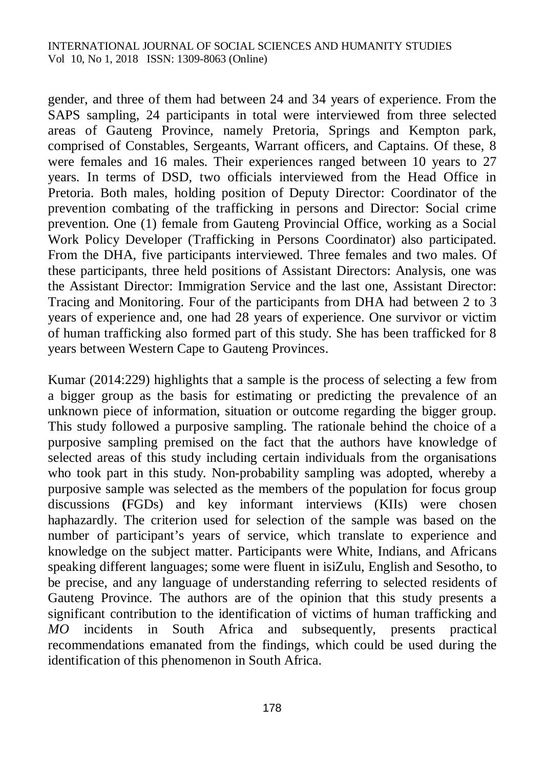gender, and three of them had between 24 and 34 years of experience. From the SAPS sampling, 24 participants in total were interviewed from three selected areas of Gauteng Province, namely Pretoria, Springs and Kempton park, comprised of Constables, Sergeants, Warrant officers, and Captains. Of these, 8 were females and 16 males. Their experiences ranged between 10 years to 27 years. In terms of DSD, two officials interviewed from the Head Office in Pretoria. Both males, holding position of Deputy Director: Coordinator of the prevention combating of the trafficking in persons and Director: Social crime prevention. One (1) female from Gauteng Provincial Office, working as a Social Work Policy Developer (Trafficking in Persons Coordinator) also participated. From the DHA, five participants interviewed. Three females and two males. Of these participants, three held positions of Assistant Directors: Analysis, one was the Assistant Director: Immigration Service and the last one, Assistant Director: Tracing and Monitoring. Four of the participants from DHA had between 2 to 3 years of experience and, one had 28 years of experience. One survivor or victim of human trafficking also formed part of this study. She has been trafficked for 8 years between Western Cape to Gauteng Provinces.

Kumar (2014:229) highlights that a sample is the process of selecting a few from a bigger group as the basis for estimating or predicting the prevalence of an unknown piece of information, situation or outcome regarding the bigger group. This study followed a purposive sampling. The rationale behind the choice of a purposive sampling premised on the fact that the authors have knowledge of selected areas of this study including certain individuals from the organisations who took part in this study. Non-probability sampling was adopted, whereby a purposive sample was selected as the members of the population for focus group discussions **(**FGDs) and key informant interviews (KIIs) were chosen haphazardly. The criterion used for selection of the sample was based on the number of participant's years of service, which translate to experience and knowledge on the subject matter. Participants were White, Indians, and Africans speaking different languages; some were fluent in isiZulu, English and Sesotho, to be precise, and any language of understanding referring to selected residents of Gauteng Province. The authors are of the opinion that this study presents a significant contribution to the identification of victims of human trafficking and *MO* incidents in South Africa and subsequently, presents practical recommendations emanated from the findings, which could be used during the identification of this phenomenon in South Africa.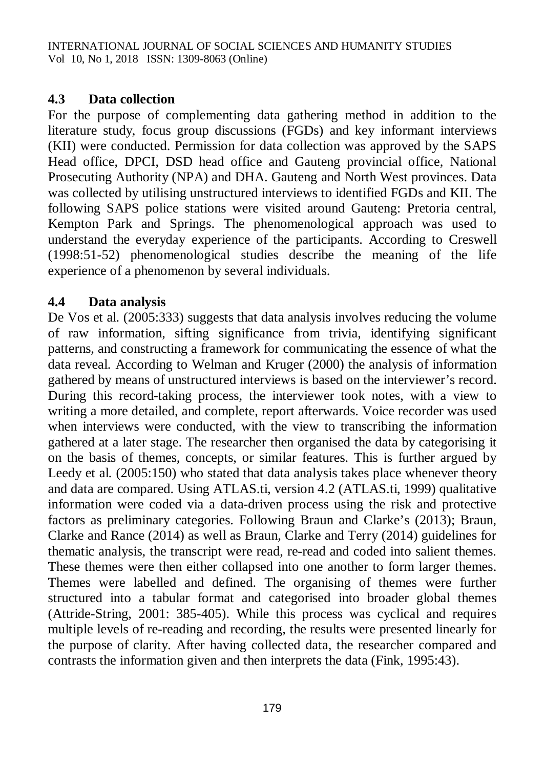#### **4.3 Data collection**

For the purpose of complementing data gathering method in addition to the literature study, focus group discussions (FGDs) and key informant interviews (KII) were conducted. Permission for data collection was approved by the SAPS Head office, DPCI, DSD head office and Gauteng provincial office, National Prosecuting Authority (NPA) and DHA. Gauteng and North West provinces. Data was collected by utilising unstructured interviews to identified FGDs and KII. The following SAPS police stations were visited around Gauteng: Pretoria central, Kempton Park and Springs. The phenomenological approach was used to understand the everyday experience of the participants. According to Creswell (1998:51-52) phenomenological studies describe the meaning of the life experience of a phenomenon by several individuals.

## **4.4 Data analysis**

De Vos et al. (2005:333) suggests that data analysis involves reducing the volume of raw information, sifting significance from trivia, identifying significant patterns, and constructing a framework for communicating the essence of what the data reveal. According to Welman and Kruger (2000) the analysis of information gathered by means of unstructured interviews is based on the interviewer's record. During this record-taking process, the interviewer took notes, with a view to writing a more detailed, and complete, report afterwards. Voice recorder was used when interviews were conducted, with the view to transcribing the information gathered at a later stage. The researcher then organised the data by categorising it on the basis of themes, concepts, or similar features. This is further argued by Leedy et al*.* (2005:150) who stated that data analysis takes place whenever theory and data are compared. Using ATLAS.ti, version 4.2 (ATLAS.ti, 1999) qualitative information were coded via a data-driven process using the risk and protective factors as preliminary categories. Following Braun and Clarke's (2013); Braun, Clarke and Rance (2014) as well as Braun, Clarke and Terry (2014) guidelines for thematic analysis, the transcript were read, re-read and coded into salient themes. These themes were then either collapsed into one another to form larger themes. Themes were labelled and defined. The organising of themes were further structured into a tabular format and categorised into broader global themes (Attride-String, 2001: 385-405). While this process was cyclical and requires multiple levels of re-reading and recording, the results were presented linearly for the purpose of clarity. After having collected data, the researcher compared and contrasts the information given and then interprets the data (Fink, 1995:43).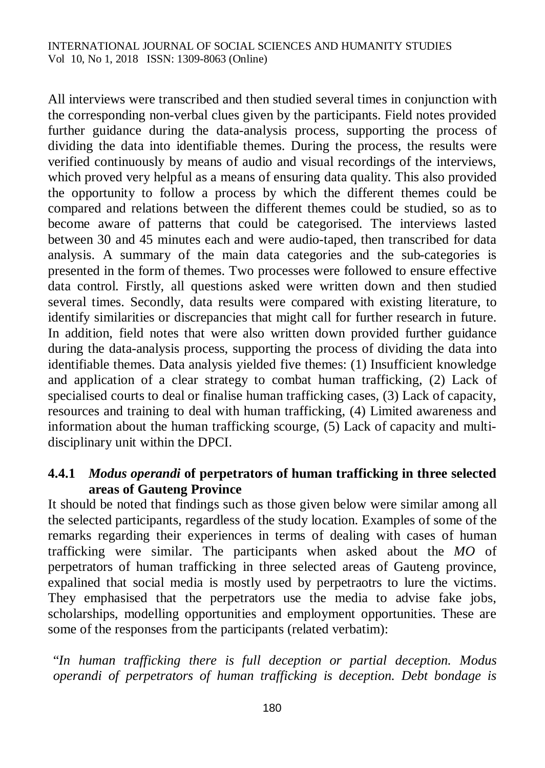All interviews were transcribed and then studied several times in conjunction with the corresponding non-verbal clues given by the participants. Field notes provided further guidance during the data-analysis process, supporting the process of dividing the data into identifiable themes. During the process, the results were verified continuously by means of audio and visual recordings of the interviews, which proved very helpful as a means of ensuring data quality. This also provided the opportunity to follow a process by which the different themes could be compared and relations between the different themes could be studied, so as to become aware of patterns that could be categorised. The interviews lasted between 30 and 45 minutes each and were audio-taped, then transcribed for data analysis. A summary of the main data categories and the sub-categories is presented in the form of themes. Two processes were followed to ensure effective data control. Firstly, all questions asked were written down and then studied several times. Secondly, data results were compared with existing literature, to identify similarities or discrepancies that might call for further research in future. In addition, field notes that were also written down provided further guidance during the data-analysis process, supporting the process of dividing the data into identifiable themes. Data analysis yielded five themes: (1) Insufficient knowledge and application of a clear strategy to combat human trafficking, (2) Lack of specialised courts to deal or finalise human trafficking cases, (3) Lack of capacity, resources and training to deal with human trafficking, (4) Limited awareness and information about the human trafficking scourge, (5) Lack of capacity and multidisciplinary unit within the DPCI.

## **4.4.1** *Modus operandi* **of perpetrators of human trafficking in three selected areas of Gauteng Province**

It should be noted that findings such as those given below were similar among all the selected participants, regardless of the study location. Examples of some of the remarks regarding their experiences in terms of dealing with cases of human trafficking were similar. The participants when asked about the *MO* of perpetrators of human trafficking in three selected areas of Gauteng province, expalined that social media is mostly used by perpetraotrs to lure the victims. They emphasised that the perpetrators use the media to advise fake jobs, scholarships, modelling opportunities and employment opportunities. These are some of the responses from the participants (related verbatim):

"*In human trafficking there is full deception or partial deception. Modus operandi of perpetrators of human trafficking is deception. Debt bondage is*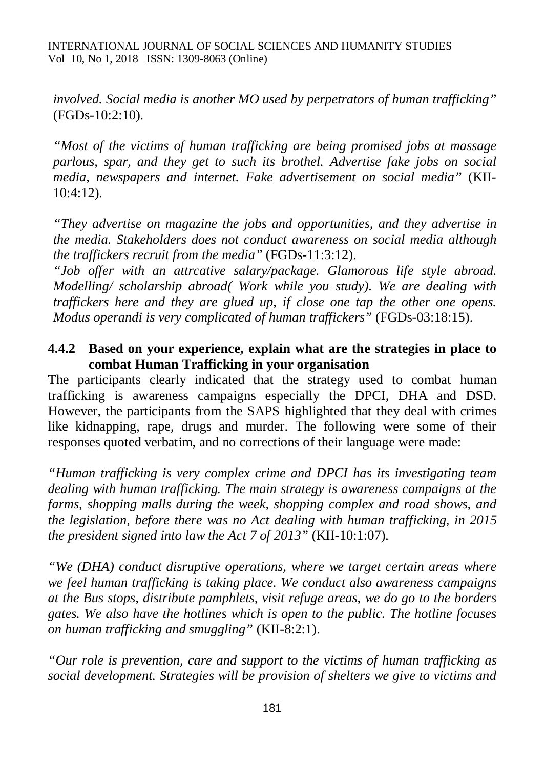*involved. Social media is another MO used by perpetrators of human trafficking"* (FGDs-10:2:10)*.*

*"Most of the victims of human trafficking are being promised jobs at massage parlous, spar, and they get to such its brothel. Advertise fake jobs on social media, newspapers and internet. Fake advertisement on social media"* (KII-10:4:12)*.*

*"They advertise on magazine the jobs and opportunities, and they advertise in the media. Stakeholders does not conduct awareness on social media although the traffickers recruit from the media"* (FGDs-11:3:12).

*"Job offer with an attrcative salary/package. Glamorous life style abroad. Modelling/ scholarship abroad( Work while you study). We are dealing with traffickers here and they are glued up, if close one tap the other one opens. Modus operandi is very complicated of human traffickers"* (FGDs-03:18:15).

#### **4.4.2 Based on your experience, explain what are the strategies in place to combat Human Trafficking in your organisation**

The participants clearly indicated that the strategy used to combat human trafficking is awareness campaigns especially the DPCI, DHA and DSD. However, the participants from the SAPS highlighted that they deal with crimes like kidnapping, rape, drugs and murder. The following were some of their responses quoted verbatim, and no corrections of their language were made:

*"Human trafficking is very complex crime and DPCI has its investigating team dealing with human trafficking. The main strategy is awareness campaigns at the farms, shopping malls during the week, shopping complex and road shows, and the legislation, before there was no Act dealing with human trafficking, in 2015 the president signed into law the Act 7 of 2013"* (KII-10:1:07)*.* 

*"We (DHA) conduct disruptive operations, where we target certain areas where we feel human trafficking is taking place. We conduct also awareness campaigns at the Bus stops, distribute pamphlets, visit refuge areas, we do go to the borders gates. We also have the hotlines which is open to the public. The hotline focuses on human trafficking and smuggling"* (KII-8:2:1).

*"Our role is prevention, care and support to the victims of human trafficking as social development. Strategies will be provision of shelters we give to victims and*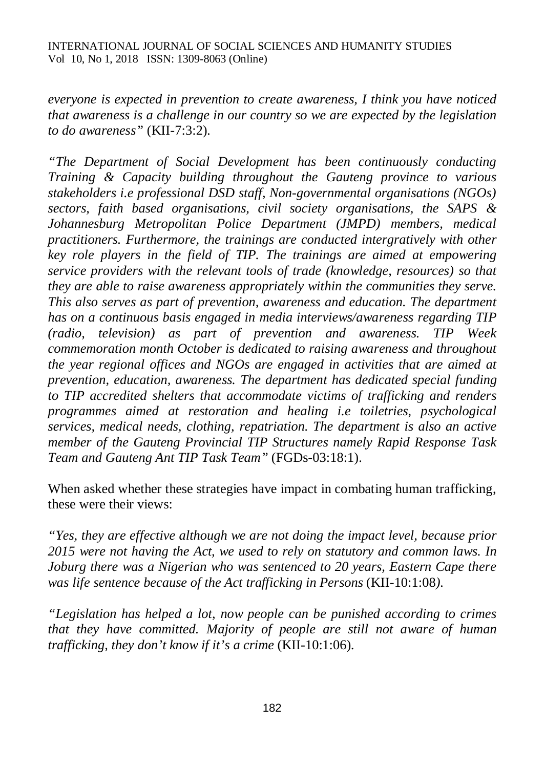*everyone is expected in prevention to create awareness, I think you have noticed that awareness is a challenge in our country so we are expected by the legislation to do awareness"* (KII-7:3:2)*.*

*"The Department of Social Development has been continuously conducting Training & Capacity building throughout the Gauteng province to various stakeholders i.e professional DSD staff, Non-governmental organisations (NGOs) sectors, faith based organisations, civil society organisations, the SAPS & Johannesburg Metropolitan Police Department (JMPD) members, medical practitioners. Furthermore, the trainings are conducted intergratively with other key role players in the field of TIP. The trainings are aimed at empowering service providers with the relevant tools of trade (knowledge, resources) so that they are able to raise awareness appropriately within the communities they serve. This also serves as part of prevention, awareness and education. The department has on a continuous basis engaged in media interviews/awareness regarding TIP (radio, television) as part of prevention and awareness. TIP Week commemoration month October is dedicated to raising awareness and throughout the year regional offices and NGOs are engaged in activities that are aimed at prevention, education, awareness. The department has dedicated special funding to TIP accredited shelters that accommodate victims of trafficking and renders programmes aimed at restoration and healing i.e toiletries, psychological services, medical needs, clothing, repatriation. The department is also an active member of the Gauteng Provincial TIP Structures namely Rapid Response Task Team and Gauteng Ant TIP Task Team"* (FGDs-03:18:1).

When asked whether these strategies have impact in combating human trafficking, these were their views:

*"Yes, they are effective although we are not doing the impact level, because prior 2015 were not having the Act, we used to rely on statutory and common laws. In Joburg there was a Nigerian who was sentenced to 20 years, Eastern Cape there was life sentence because of the Act trafficking in Persons* (KII-10:1:08*).*

*"Legislation has helped a lot, now people can be punished according to crimes that they have committed. Majority of people are still not aware of human trafficking, they don't know if it's a crime (KII-10:1:06).*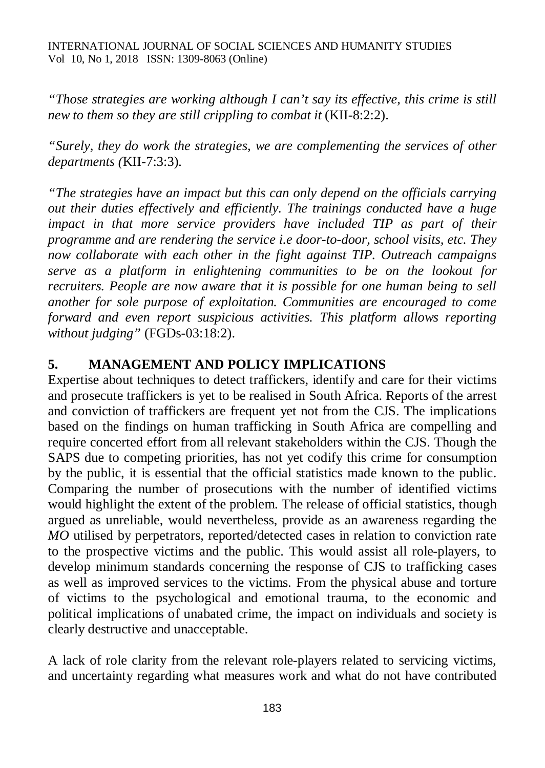*"Those strategies are working although I can't say its effective, this crime is still new to them so they are still crippling to combat it* (KII-8:2:2).

*"Surely, they do work the strategies, we are complementing the services of other departments (*KII-7:3:3)*.*

*"The strategies have an impact but this can only depend on the officials carrying out their duties effectively and efficiently. The trainings conducted have a huge impact in that more service providers have included TIP as part of their programme and are rendering the service i.e door-to-door, school visits, etc. They now collaborate with each other in the fight against TIP. Outreach campaigns serve as a platform in enlightening communities to be on the lookout for recruiters. People are now aware that it is possible for one human being to sell another for sole purpose of exploitation. Communities are encouraged to come forward and even report suspicious activities. This platform allows reporting without judging"* (FGDs-03:18:2).

#### **5. MANAGEMENT AND POLICY IMPLICATIONS**

Expertise about techniques to detect traffickers, identify and care for their victims and prosecute traffickers is yet to be realised in South Africa. Reports of the arrest and conviction of traffickers are frequent yet not from the CJS. The implications based on the findings on human trafficking in South Africa are compelling and require concerted effort from all relevant stakeholders within the CJS. Though the SAPS due to competing priorities, has not yet codify this crime for consumption by the public, it is essential that the official statistics made known to the public. Comparing the number of prosecutions with the number of identified victims would highlight the extent of the problem. The release of official statistics, though argued as unreliable, would nevertheless, provide as an awareness regarding the *MO* utilised by perpetrators, reported/detected cases in relation to conviction rate to the prospective victims and the public. This would assist all role-players, to develop minimum standards concerning the response of CJS to trafficking cases as well as improved services to the victims. From the physical abuse and torture of victims to the psychological and emotional trauma, to the economic and political implications of unabated crime, the impact on individuals and society is clearly destructive and unacceptable.

A lack of role clarity from the relevant role-players related to servicing victims, and uncertainty regarding what measures work and what do not have contributed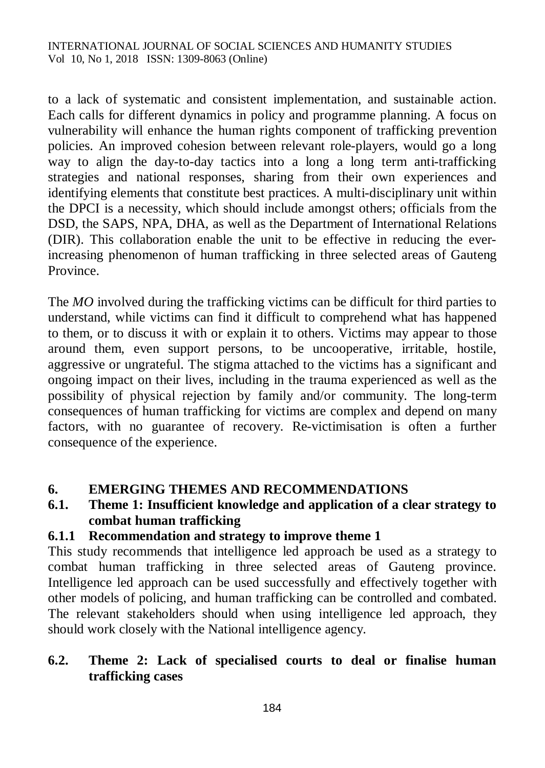to a lack of systematic and consistent implementation, and sustainable action. Each calls for different dynamics in policy and programme planning. A focus on vulnerability will enhance the human rights component of trafficking prevention policies. An improved cohesion between relevant role-players, would go a long way to align the day-to-day tactics into a long a long term anti-trafficking strategies and national responses, sharing from their own experiences and identifying elements that constitute best practices. A multi-disciplinary unit within the DPCI is a necessity, which should include amongst others; officials from the DSD, the SAPS, NPA, DHA, as well as the Department of International Relations (DIR). This collaboration enable the unit to be effective in reducing the everincreasing phenomenon of human trafficking in three selected areas of Gauteng Province.

The *MO* involved during the trafficking victims can be difficult for third parties to understand, while victims can find it difficult to comprehend what has happened to them, or to discuss it with or explain it to others. Victims may appear to those around them, even support persons, to be uncooperative, irritable, hostile, aggressive or ungrateful. The stigma attached to the victims has a significant and ongoing impact on their lives, including in the trauma experienced as well as the possibility of physical rejection by family and/or community. The long-term consequences of human trafficking for victims are complex and depend on many factors, with no guarantee of recovery. Re-victimisation is often a further consequence of the experience.

## **6. EMERGING THEMES AND RECOMMENDATIONS**

## **6.1. Theme 1: Insufficient knowledge and application of a clear strategy to combat human trafficking**

## **6.1.1 Recommendation and strategy to improve theme 1**

This study recommends that intelligence led approach be used as a strategy to combat human trafficking in three selected areas of Gauteng province. Intelligence led approach can be used successfully and effectively together with other models of policing, and human trafficking can be controlled and combated. The relevant stakeholders should when using intelligence led approach, they should work closely with the National intelligence agency.

## **6.2. Theme 2: Lack of specialised courts to deal or finalise human trafficking cases**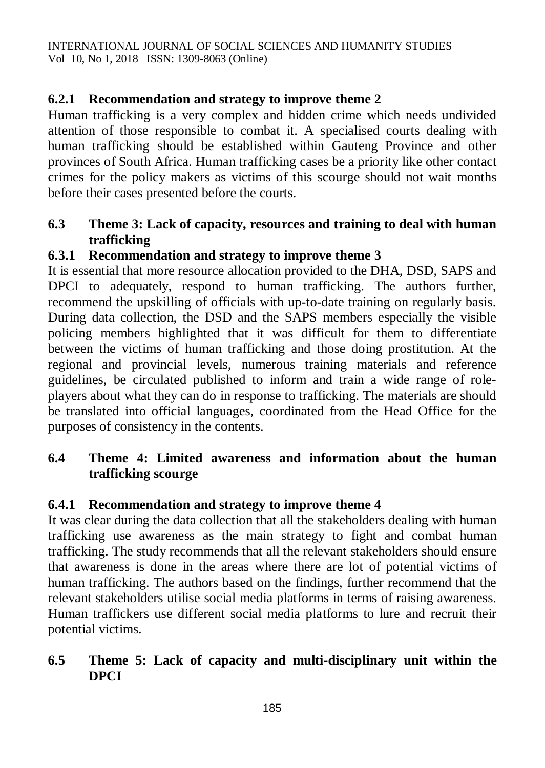## **6.2.1 Recommendation and strategy to improve theme 2**

Human trafficking is a very complex and hidden crime which needs undivided attention of those responsible to combat it. A specialised courts dealing with human trafficking should be established within Gauteng Province and other provinces of South Africa. Human trafficking cases be a priority like other contact crimes for the policy makers as victims of this scourge should not wait months before their cases presented before the courts.

## **6.3 Theme 3: Lack of capacity, resources and training to deal with human trafficking**

## **6.3.1 Recommendation and strategy to improve theme 3**

It is essential that more resource allocation provided to the DHA, DSD, SAPS and DPCI to adequately, respond to human trafficking. The authors further, recommend the upskilling of officials with up-to-date training on regularly basis. During data collection, the DSD and the SAPS members especially the visible policing members highlighted that it was difficult for them to differentiate between the victims of human trafficking and those doing prostitution. At the regional and provincial levels, numerous training materials and reference guidelines, be circulated published to inform and train a wide range of roleplayers about what they can do in response to trafficking. The materials are should be translated into official languages, coordinated from the Head Office for the purposes of consistency in the contents.

## **6.4 Theme 4: Limited awareness and information about the human trafficking scourge**

## **6.4.1 Recommendation and strategy to improve theme 4**

It was clear during the data collection that all the stakeholders dealing with human trafficking use awareness as the main strategy to fight and combat human trafficking. The study recommends that all the relevant stakeholders should ensure that awareness is done in the areas where there are lot of potential victims of human trafficking. The authors based on the findings, further recommend that the relevant stakeholders utilise social media platforms in terms of raising awareness. Human traffickers use different social media platforms to lure and recruit their potential victims.

## **6.5 Theme 5: Lack of capacity and multi-disciplinary unit within the DPCI**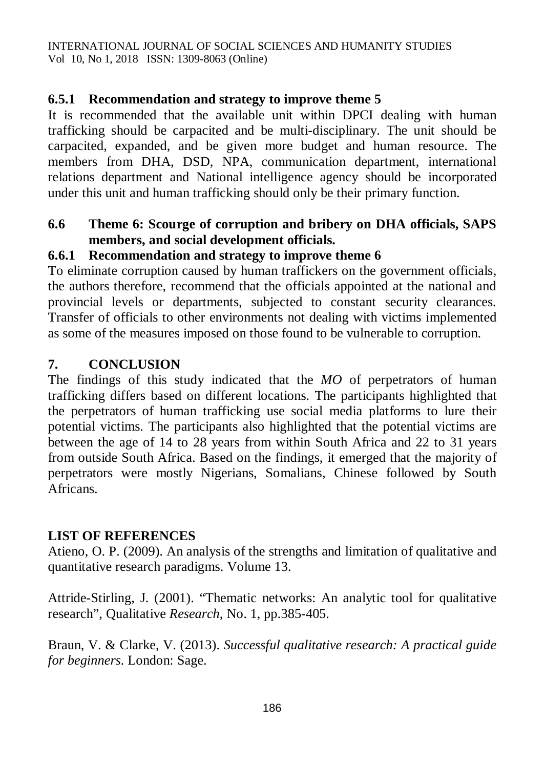#### **6.5.1 Recommendation and strategy to improve theme 5**

It is recommended that the available unit within DPCI dealing with human trafficking should be carpacited and be multi-disciplinary. The unit should be carpacited, expanded, and be given more budget and human resource. The members from DHA, DSD, NPA, communication department, international relations department and National intelligence agency should be incorporated under this unit and human trafficking should only be their primary function.

## **6.6 Theme 6: Scourge of corruption and bribery on DHA officials, SAPS members, and social development officials.**

## **6.6.1 Recommendation and strategy to improve theme 6**

To eliminate corruption caused by human traffickers on the government officials, the authors therefore, recommend that the officials appointed at the national and provincial levels or departments, subjected to constant security clearances. Transfer of officials to other environments not dealing with victims implemented as some of the measures imposed on those found to be vulnerable to corruption.

#### **7. CONCLUSION**

The findings of this study indicated that the *MO* of perpetrators of human trafficking differs based on different locations. The participants highlighted that the perpetrators of human trafficking use social media platforms to lure their potential victims. The participants also highlighted that the potential victims are between the age of 14 to 28 years from within South Africa and 22 to 31 years from outside South Africa. Based on the findings, it emerged that the majority of perpetrators were mostly Nigerians, Somalians, Chinese followed by South Africans.

#### **LIST OF REFERENCES**

Atieno, O. P. (2009). An analysis of the strengths and limitation of qualitative and quantitative research paradigms. Volume 13.

Attride-Stirling, J. (2001). "Thematic networks: An analytic tool for qualitative research", Qualitative *Research*, No. 1, pp.385-405.

Braun, V. & Clarke, V. (2013). *Successful qualitative research: A practical guide for beginners*. London: Sage.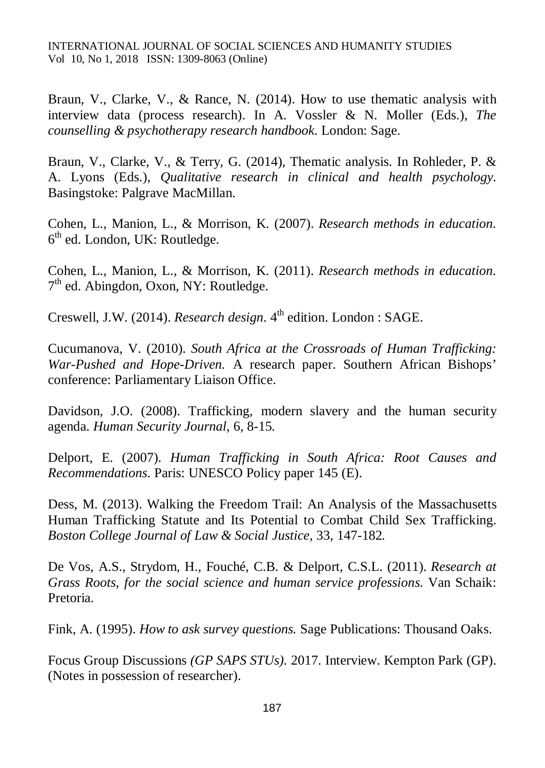Braun, V., Clarke, V., & Rance, N. (2014). How to use thematic analysis with interview data (process research). In A. Vossler & N. Moller (Eds.), *The counselling & psychotherapy research handbook*. London: Sage.

Braun, V., Clarke, V., & Terry, G. (2014), Thematic analysis. In Rohleder, P. & A. Lyons (Eds.), *Qualitative research in clinical and health psychology*. Basingstoke: Palgrave MacMillan.

Cohen, L., Manion, L., & Morrison, K. (2007). *Research methods in education*.  $6<sup>th</sup>$  ed. London, UK: Routledge.

Cohen, L., Manion, L., & Morrison, K. (2011). *Research methods in education*. 7<sup>th</sup> ed. Abingdon, Oxon, NY: Routledge.

Creswell, J.W. (2014). *Research design*. 4<sup>th</sup> edition. London : SAGE.

Cucumanova, V. (2010). *South Africa at the Crossroads of Human Trafficking: War-Pushed and Hope-Driven.* A research paper. Southern African Bishops' conference: Parliamentary Liaison Office.

Davidson, J.O. (2008). Trafficking, modern slavery and the human security agenda. *Human Security Journal,* 6, 8-15.

Delport, E. (2007). *Human Trafficking in South Africa: Root Causes and Recommendations*. Paris: UNESCO Policy paper 145 (E).

Dess, M. (2013). Walking the Freedom Trail: An Analysis of the Massachusetts Human Trafficking Statute and Its Potential to Combat Child Sex Trafficking. *Boston College Journal of Law & Social Justice,* 33, 147-182*.*

De Vos, A.S., Strydom, H., Fouché, C.B. & Delport, C.S.L. (2011). *Research at Grass Roots, for the social science and human service professions*. Van Schaik: Pretoria.

Fink, A. (1995). *How to ask survey questions.* Sage Publications: Thousand Oaks.

Focus Group Discussions *(GP SAPS STUs).* 2017. Interview. Kempton Park (GP). (Notes in possession of researcher).